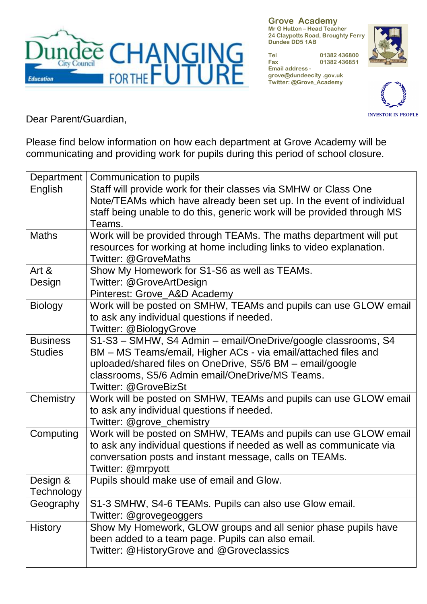

**Grove Academy Mr G Hutton – Head Teacher 24 Claypotts Road, Broughty Ferry Dundee DD5 1AB**

**Tel 01382 436800 Fax 01382 436851 Email address grove@dundeecity .gov.uk Twitter: @Grove\_Academy**





Dear Parent/Guardian,

Please find below information on how each department at Grove Academy will be communicating and providing work for pupils during this period of school closure.

| Department      | Communication to pupils                                                 |
|-----------------|-------------------------------------------------------------------------|
| English         | Staff will provide work for their classes via SMHW or Class One         |
|                 | Note/TEAMs which have already been set up. In the event of individual   |
|                 | staff being unable to do this, generic work will be provided through MS |
|                 | Teams.                                                                  |
| <b>Maths</b>    | Work will be provided through TEAMs. The maths department will put      |
|                 | resources for working at home including links to video explanation.     |
|                 | <b>Twitter: @GroveMaths</b>                                             |
| Art $\&$        | Show My Homework for S1-S6 as well as TEAMs.                            |
| Design          | Twitter: @GroveArtDesign                                                |
|                 | Pinterest: Grove_A&D Academy                                            |
| <b>Biology</b>  | Work will be posted on SMHW, TEAMs and pupils can use GLOW email        |
|                 | to ask any individual questions if needed.                              |
|                 | Twitter: @BiologyGrove                                                  |
| <b>Business</b> | S1-S3 - SMHW, S4 Admin - email/OneDrive/google classrooms, S4           |
| <b>Studies</b>  | BM - MS Teams/email, Higher ACs - via email/attached files and          |
|                 | uploaded/shared files on OneDrive, S5/6 BM - email/google               |
|                 | classrooms, S5/6 Admin email/OneDrive/MS Teams.                         |
|                 | Twitter: @GroveBizSt                                                    |
| Chemistry       | Work will be posted on SMHW, TEAMs and pupils can use GLOW email        |
|                 | to ask any individual questions if needed.                              |
|                 | Twitter: @grove_chemistry                                               |
| Computing       | Work will be posted on SMHW, TEAMs and pupils can use GLOW email        |
|                 | to ask any individual questions if needed as well as communicate via    |
|                 | conversation posts and instant message, calls on TEAMs.                 |
|                 | Twitter: @mrpyott                                                       |
| Design &        | Pupils should make use of email and Glow.                               |
| Technology      |                                                                         |
| Geography       | S1-3 SMHW, S4-6 TEAMs. Pupils can also use Glow email.                  |
|                 | Twitter: @grovegeoggers                                                 |
| <b>History</b>  | Show My Homework, GLOW groups and all senior phase pupils have          |
|                 | been added to a team page. Pupils can also email.                       |
|                 | Twitter: @HistoryGrove and @Groveclassics                               |
|                 |                                                                         |